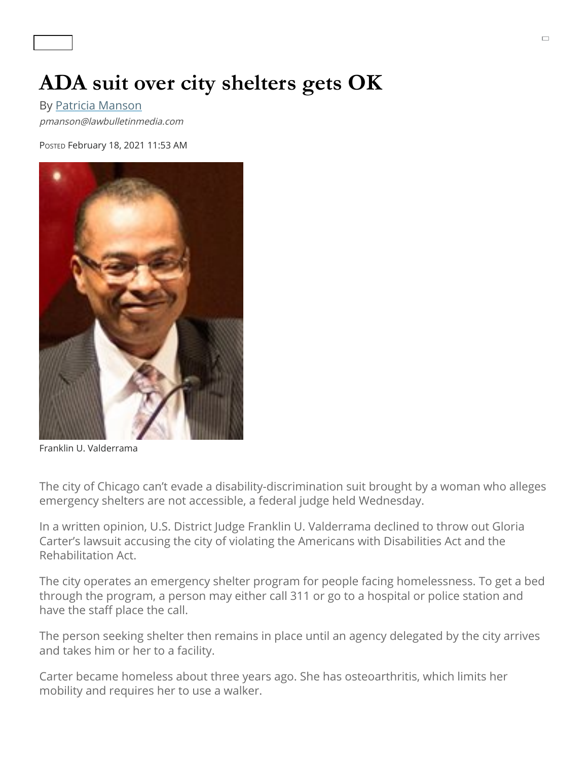## **ADA suit over city shelters gets OK**

By [Patricia Manson](https://www.chicagolawbulletin.com/elements/staff/Manson) pmanson@lawbulletinmedia.com

POSTED February 18, 2021 11:53 AM



Franklin U. Valderrama

The city of Chicago can't evade a disability-discrimination suit brought by a woman who alleges emergency shelters are not accessible, a federal judge held Wednesday.

In a written opinion, U.S. District Judge Franklin U. Valderrama declined to throw out Gloria Carter's lawsuit accusing the city of violating the Americans with Disabilities Act and the Rehabilitation Act.

The city operates an emergency shelter program for people facing homelessness. To get a bed through the program, a person may either call 311 or go to a hospital or police station and have the staff place the call.

The person seeking shelter then remains in place until an agency delegated by the city arrives and takes him or her to a facility.

Carter became homeless about three years ago. She has osteoarthritis, which limits her mobility and requires her to use a walker.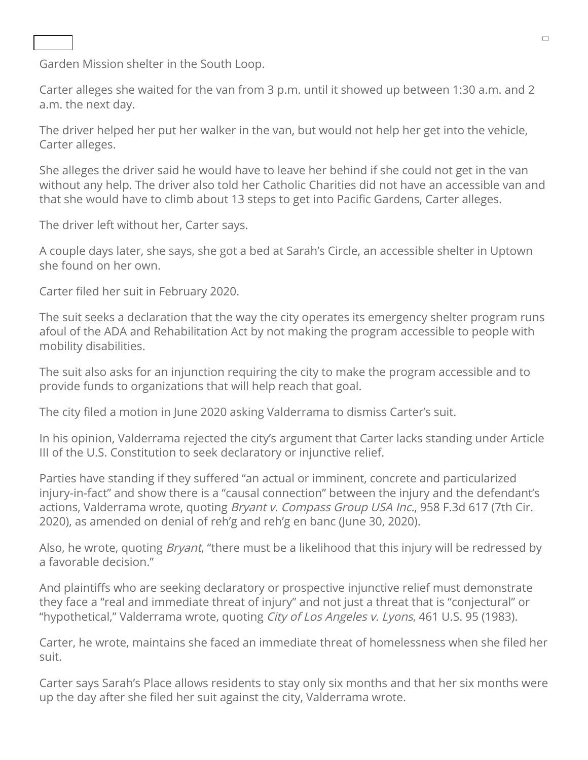## Garden Mission shelter in the South Loop.

Carter alleges she waited for the van from 3 p.m. until it showed up between 1:30 a.m. and 2 a.m. the next day.

called 311 and was told Catholic Charities would send a van and take Carter to the Pacific Charities would sen<br>The Pacific Charities would send a van and take Carter to the Pacific Charities would be considered to the Pac

The driver helped her put her walker in the van, but would not help her get into the vehicle, Carter alleges.

She alleges the driver said he would have to leave her behind if she could not get in the van without any help. The driver also told her Catholic Charities did not have an accessible van and that she would have to climb about 13 steps to get into Pacific Gardens, Carter alleges.

The driver left without her, Carter says.

A couple days later, she says, she got a bed at Sarah's Circle, an accessible shelter in Uptown she found on her own.

Carter filed her suit in February 2020.

The suit seeks a declaration that the way the city operates its emergency shelter program runs afoul of the ADA and Rehabilitation Act by not making the program accessible to people with mobility disabilities.

The suit also asks for an injunction requiring the city to make the program accessible and to provide funds to organizations that will help reach that goal.

The city filed a motion in June 2020 asking Valderrama to dismiss Carter's suit.

In his opinion, Valderrama rejected the city's argument that Carter lacks standing under Article III of the U.S. Constitution to seek declaratory or injunctive relief.

Parties have standing if they suffered "an actual or imminent, concrete and particularized injury-in-fact" and show there is a "causal connection" between the injury and the defendant's actions, Valderrama wrote, quoting *Bryant v. Compass Group USA Inc.*, 958 F.3d 617 (7th Cir. 2020), as amended on denial of reh'g and reh'g en banc (June 30, 2020).

Also, he wrote, quoting *Bryant*, "there must be a likelihood that this injury will be redressed by a favorable decision."

And plaintiffs who are seeking declaratory or prospective injunctive relief must demonstrate they face a "real and immediate threat of injury" and not just a threat that is "conjectural" or "hypothetical," Valderrama wrote, quoting City of Los Angeles v. Lyons, 461 U.S. 95 (1983).

Carter, he wrote, maintains she faced an immediate threat of homelessness when she filed her suit.

Carter says Sarah's Place allows residents to stay only six months and that her six months were up the day after she filed her suit against the city, Valderrama wrote.